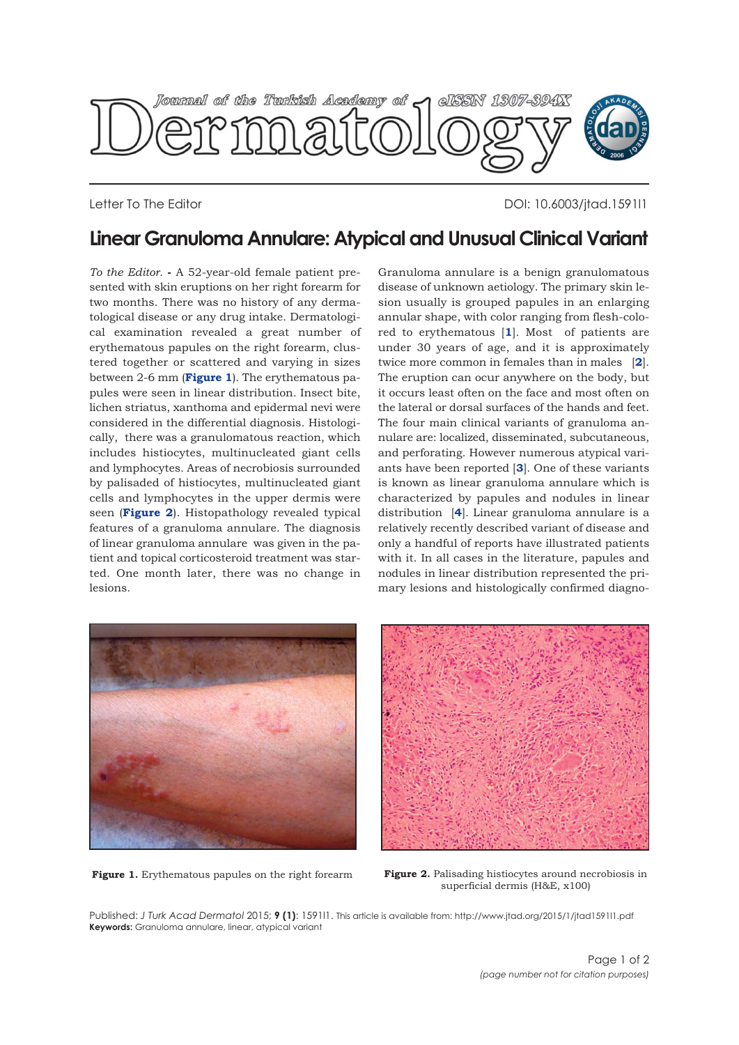

Letter To The Editor DOI: 10.6003/jtad.1591l1

## **Linear Granuloma Annulare: Atypical and Unusual Clinical Variant**

*To the Editor.* **-** A 52-year-old female patient presented with skin eruptions on her right forearm for two months. There was no history of any dermatological disease or any drug intake. Dermatological examination revealed a great number of erythematous papules on the right forearm, clustered together or scattered and varying in sizes between 2-6 mm (**Figure 1**). The erythematous papules were seen in linear distribution. Insect bite, lichen striatus, xanthoma and epidermal nevi were considered in the differential diagnosis. Histologically, there was a granulomatous reaction, which includes histiocytes, multinucleated giant cells and lymphocytes. Areas of necrobiosis surrounded by palisaded of histiocytes, multinucleated giant cells and lymphocytes in the upper dermis were seen (**Figure 2**). Histopathology revealed typical features of a granuloma annulare. The diagnosis of linear granuloma annulare was given in the patient and topical corticosteroid treatment was started. One month later, there was no change in lesions.

Granuloma annulare is a benign granulomatous disease of unknown aetiology. The primary skin lesion usually is grouped papules in an enlarging annular shape, with color ranging from flesh-colored to erythematous [**[1](#page-1-0)**]. Most of patients are under 30 years of age, and it is approximately twice more common in females than in males [**[2](#page-1-0)**]. The eruption can ocur anywhere on the body, but it occurs least often on the face and most often on the lateral or dorsal surfaces of the hands and feet. The four main clinical variants of granuloma annulare are: localized, disseminated, subcutaneous, and perforating. However numerous atypical variants have been reported [**[3](#page-1-0)**]. One of these variants is known as linear granuloma annulare which is characterized by papules and nodules in linear distribution [**[4](#page-1-0)**]. Linear granuloma annulare is a relatively recently described variant of disease and only a handful of reports have illustrated patients with it. In all cases in the literature, papules and nodules in linear distribution represented the primary lesions and histologically confirmed diagno-



**Figure 1.** Erythematous papules on the right forearm **Figure 2.** Palisading histiocytes around necrobiosis in superficial dermis (H&E, x100)

Published: *J Turk Acad Dermatol* 2015; **9 (1)**: 1591l1. This article is available from: http://www.jtad.org/2015/1/jtad1591l1.pdf **Keywords:** Granuloma annulare, linear, atypical variant